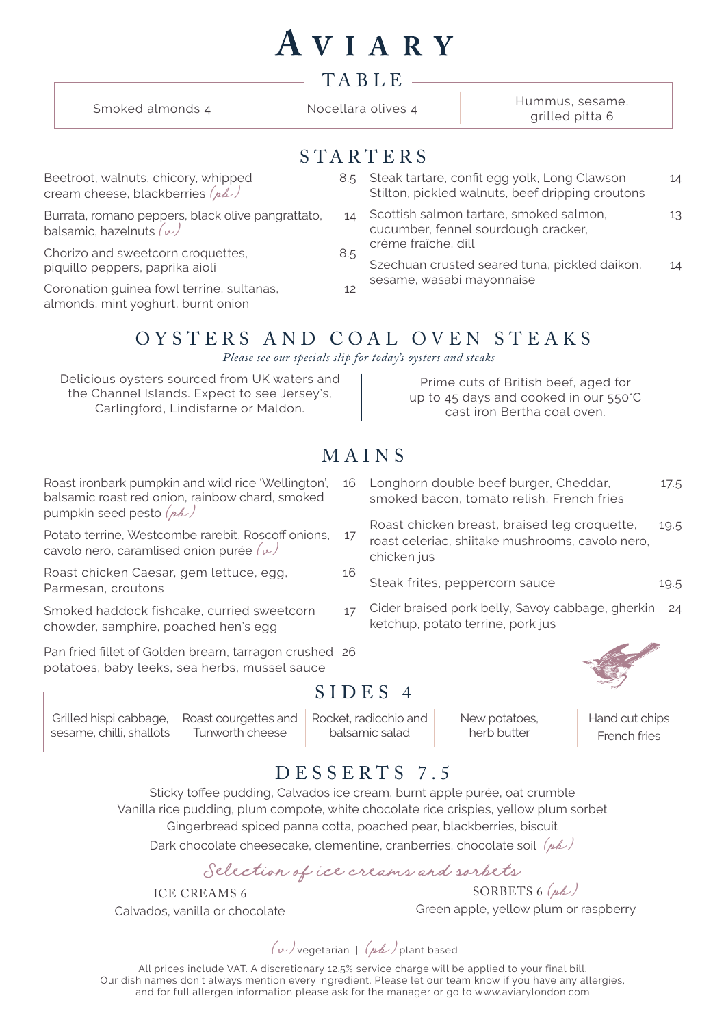|                                                                                                                   |                  |     | AVIARY                                                                                            |                                                  |    |  |  |
|-------------------------------------------------------------------------------------------------------------------|------------------|-----|---------------------------------------------------------------------------------------------------|--------------------------------------------------|----|--|--|
| TABLE                                                                                                             |                  |     |                                                                                                   |                                                  |    |  |  |
|                                                                                                                   | Smoked almonds 4 |     | Nocellara olives 4                                                                                | Hummus, sesame,<br>grilled pitta 6               |    |  |  |
|                                                                                                                   |                  |     | STARTERS                                                                                          |                                                  |    |  |  |
| Beetroot, walnuts, chicory, whipped<br>cream cheese, blackberries $(\rho \mathbb{A})$                             |                  |     | 8.5 Steak tartare, confit egg yolk, Long Clawson                                                  | Stilton, pickled walnuts, beef dripping croutons | 14 |  |  |
| Burrata, romano peppers, black olive pangrattato,<br>balsamic, hazelnuts $(\nu)$                                  |                  | 14  | Scottish salmon tartare, smoked salmon,<br>cucumber, fennel sourdough cracker,                    |                                                  | 13 |  |  |
| Chorizo and sweetcorn croquettes,<br>piquillo peppers, paprika aioli<br>Coronation guinea fowl terrine, sultanas, |                  | 8.5 | crème fraîche, dill<br>Szechuan crusted seared tuna, pickled daikon,<br>sesame, wasabi mayonnaise |                                                  | 14 |  |  |
|                                                                                                                   |                  | 12  |                                                                                                   |                                                  |    |  |  |

#### OYSTERS AND COAL OVEN STEAKS

*Please see our specials slip for today's oysters and steaks*

| Delicious oysters sourced from UK waters and | Prime cuts of British beef, aged for  |
|----------------------------------------------|---------------------------------------|
| the Channel Islands. Expect to see Jersey's, | up to 45 days and cooked in our 550°C |
| Carlingford, Lindisfarne or Maldon.          | cast iron Bertha coal oven.           |

### MAINS

| Roast ironbark pumpkin and wild rice 'Wellington',<br>balsamic roast red onion, rainbow chard, smoked<br>Potato terrine, Westcombe rarebit, Roscoff onions,<br>cavolo nero, caramlised onion purée $(\nu)$ |    | Longhorn double beef burger, Cheddar,<br>smoked bacon, tomato relish, French fries                              | 17.5 |  |  |  |  |  |
|------------------------------------------------------------------------------------------------------------------------------------------------------------------------------------------------------------|----|-----------------------------------------------------------------------------------------------------------------|------|--|--|--|--|--|
|                                                                                                                                                                                                            |    | Roast chicken breast, braised leg croquette,<br>roast celeriac, shiitake mushrooms, cavolo nero,<br>chicken jus |      |  |  |  |  |  |
| Roast chicken Caesar, gem lettuce, egg,<br>Parmesan, croutons                                                                                                                                              | 16 | Steak frites, peppercorn sauce                                                                                  | 19.5 |  |  |  |  |  |
| Smoked haddock fishcake, curried sweetcorn<br>chowder, samphire, poached hen's egg                                                                                                                         | 17 | Cider braised pork belly, Savoy cabbage, gherkin<br>24<br>ketchup, potato terrine, pork jus                     |      |  |  |  |  |  |
| Pan fried fillet of Golden bream, tarragon crushed 26<br>potatoes, baby leeks, sea herbs, mussel sauce                                                                                                     |    |                                                                                                                 |      |  |  |  |  |  |
| E                                                                                                                                                                                                          |    |                                                                                                                 |      |  |  |  |  |  |
| Roast courgettes and<br>Grilled hispi cabbage,                                                                                                                                                             |    | Rocket, radicchio and<br>Hand cut chips<br>New potatoes,                                                        |      |  |  |  |  |  |

## DESSERTS 7.5

balsamic salad

Sticky toffee pudding, Calvados ice cream, burnt apple purée, oat crumble Vanilla rice pudding, plum compote, white chocolate rice crispies, yellow plum sorbet Gingerbread spiced panna cotta, poached pear, blackberries, biscuit Dark chocolate cheesecake, clementine, cranberries, chocolate soil  $(\overline{p}b)$ 

Selection of ice creams and sorbets

ICE CREAMS 6 Calvados, vanilla or chocolate

Tunworth cheese

sesame, chilli, shallots

almonds, mint yoghurt, burnt onion

SORBETS  $6(hh)$ Green apple, yellow plum or raspberry

herb butter

French fries

 $(\nu)$ vegetarian |  $(\nu h)$ plant based

All prices include VAT. A discretionary 12.5% service charge will be applied to your final bill. Our dish names don't always mention every ingredient. Please let our team know if you have any allergies, and for full allergen information please ask for the manager or go to www.aviarylondon.com